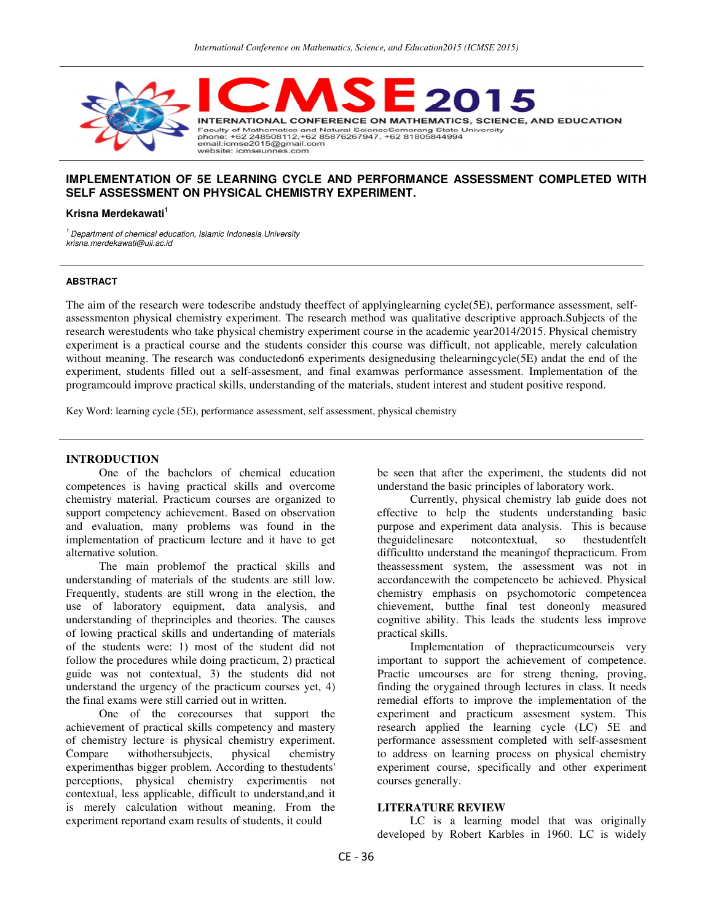

# **IMPLEMENTATION OF 5E LEARNING CYCLE AND PERFORMANCE ASSESSMENT COMPLETED WITH SELF ASSESSMENT ON PHYSICAL CHEMISTRY EXPERIMENT.**

#### **Krisna Merdekawati<sup>1</sup>**

<sup>1.</sup> Department of chemical education, Islamic Indonesia University krisna.merdekawati@uii.ac.id

#### **ABSTRACT**

The aim of the research were todescribe andstudy theeffect of applyinglearning cycle(5E), performance assessment, selfassessmenton physical chemistry experiment. The research method was qualitative descriptive approach.Subjects of the research werestudents who take physical chemistry experiment course in the academic year2014/2015. Physical chemistry experiment is a practical course and the students consider this course was difficult, not applicable, merely calculation without meaning. The research was conductedon6 experiments designedusing thelearningcycle(5E) andat the end of the experiment, students filled out a self-assesment, and final examwas performance assessment. Implementation of the programcould improve practical skills, understanding of the materials, student interest and student positive respond.

Key Word: learning cycle (5E), performance assessment, self assessment, physical chemistry

### **INTRODUCTION**

One of the bachelors of chemical education competences is having practical skills and overcome chemistry material. Practicum courses are organized to support competency achievement. Based on observation and evaluation, many problems was found in the implementation of practicum lecture and it have to get alternative solution.

The main problemof the practical skills and understanding of materials of the students are still low. Frequently, students are still wrong in the election, the use of laboratory equipment, data analysis, and understanding of theprinciples and theories. The causes of lowing practical skills and undertanding of materials of the students were: 1) most of the student did not follow the procedures while doing practicum, 2) practical guide was not contextual, 3) the students did not understand the urgency of the practicum courses yet, 4) the final exams were still carried out in written.

One of the corecourses that support the achievement of practical skills competency and mastery of chemistry lecture is physical chemistry experiment. Compare withothersubjects, physical chemistry experimenthas bigger problem. According to thestudents' perceptions, physical chemistry experimentis not contextual, less applicable, difficult to understand,and it is merely calculation without meaning. From the experiment reportand exam results of students, it could

be seen that after the experiment, the students did not understand the basic principles of laboratory work.

Currently, physical chemistry lab guide does not effective to help the students understanding basic purpose and experiment data analysis. This is because theguidelinesare notcontextual, so thestudentfelt difficultto understand the meaningof thepracticum. From theassessment system, the assessment was not in accordancewith the competenceto be achieved. Physical chemistry emphasis on psychomotoric competencea chievement, butthe final test doneonly measured cognitive ability. This leads the students less improve practical skills.

Implementation of thepracticumcourseis very important to support the achievement of competence. Practic umcourses are for streng thening, proving, finding the orygained through lectures in class. It needs remedial efforts to improve the implementation of the experiment and practicum assesment system. This research applied the learning cycle (LC) 5E and performance assessment completed with self-assesment to address on learning process on physical chemistry experiment course, specifically and other experiment courses generally.

### **LITERATURE REVIEW**

LC is a learning model that was originally developed by Robert Karbles in 1960. LC is widely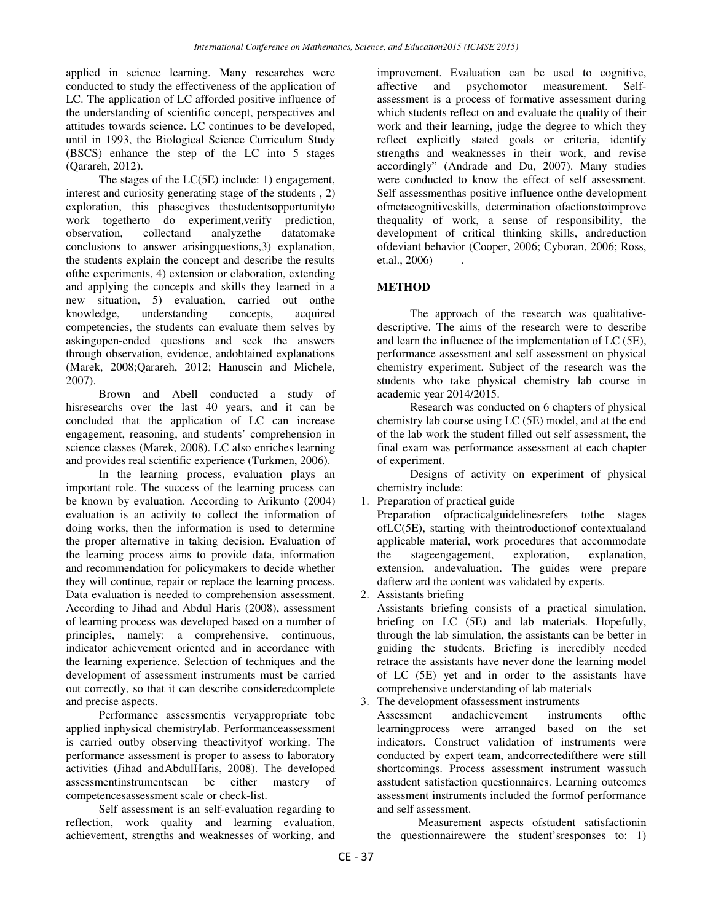applied in science learning. Many researches were conducted to study the effectiveness of the application of LC. The application of LC afforded positive influence of the understanding of scientific concept, perspectives and attitudes towards science. LC continues to be developed, until in 1993, the Biological Science Curriculum Study (BSCS) enhance the step of the LC into 5 stages (Qarareh, 2012).

The stages of the LC(5E) include: 1) engagement, interest and curiosity generating stage of the students , 2) exploration, this phasegives thestudentsopportunityto work togetherto do experiment,verify prediction, observation, collectand analyzethe datatomake conclusions to answer arisingquestions,3) explanation, the students explain the concept and describe the results ofthe experiments, 4) extension or elaboration, extending and applying the concepts and skills they learned in a new situation, 5) evaluation, carried out onthe<br>knowledge, understanding concepts, acquired knowledge, understanding concepts, acquired competencies, the students can evaluate them selves by askingopen-ended questions and seek the answers through observation, evidence, andobtained explanations (Marek, 2008;Qarareh, 2012; Hanuscin and Michele, 2007).

Brown and Abell conducted a study of hisresearchs over the last 40 years, and it can be concluded that the application of LC can increase engagement, reasoning, and students' comprehension in science classes (Marek, 2008). LC also enriches learning and provides real scientific experience (Turkmen, 2006).

In the learning process, evaluation plays an important role. The success of the learning process can be known by evaluation. According to Arikunto (2004) evaluation is an activity to collect the information of doing works, then the information is used to determine the proper alternative in taking decision. Evaluation of the learning process aims to provide data, information and recommendation for policymakers to decide whether they will continue, repair or replace the learning process. Data evaluation is needed to comprehension assessment. According to Jihad and Abdul Haris (2008), assessment of learning process was developed based on a number of principles, namely: a comprehensive, continuous, indicator achievement oriented and in accordance with the learning experience. Selection of techniques and the development of assessment instruments must be carried out correctly, so that it can describe consideredcomplete and precise aspects.

Performance assessmentis veryappropriate tobe applied inphysical chemistrylab. Performanceassessment is carried outby observing theactivityof working. The performance assessment is proper to assess to laboratory activities (Jihad andAbdulHaris, 2008). The developed assessmentinstrumentscan be either mastery of competencesassessment scale or check-list.

Self assessment is an self-evaluation regarding to reflection, work quality and learning evaluation, achievement, strengths and weaknesses of working, and improvement. Evaluation can be used to cognitive, affective and psychomotor measurement. Selfassessment is a process of formative assessment during which students reflect on and evaluate the quality of their work and their learning, judge the degree to which they reflect explicitly stated goals or criteria, identify strengths and weaknesses in their work, and revise accordingly" (Andrade and Du, 2007). Many studies were conducted to know the effect of self assessment. Self assessmenthas positive influence onthe development ofmetacognitiveskills, determination ofactionstoimprove thequality of work, a sense of responsibility, the development of critical thinking skills, andreduction ofdeviant behavior (Cooper, 2006; Cyboran, 2006; Ross, et.al., 2006)

## **METHOD**

The approach of the research was qualitativedescriptive. The aims of the research were to describe and learn the influence of the implementation of LC (5E), performance assessment and self assessment on physical chemistry experiment. Subject of the research was the students who take physical chemistry lab course in academic year 2014/2015.

Research was conducted on 6 chapters of physical chemistry lab course using LC (5E) model, and at the end of the lab work the student filled out self assessment, the final exam was performance assessment at each chapter of experiment.

Designs of activity on experiment of physical chemistry include:

1. Preparation of practical guide

Preparation ofpracticalguidelinesrefers tothe stages ofLC(5E), starting with theintroductionof contextualand applicable material, work procedures that accommodate the stageengagement, exploration, explanation, extension, andevaluation. The guides were prepare dafterw ard the content was validated by experts.

2. Assistants briefing

Assistants briefing consists of a practical simulation, briefing on LC (5E) and lab materials. Hopefully, through the lab simulation, the assistants can be better in guiding the students. Briefing is incredibly needed retrace the assistants have never done the learning model of LC (5E) yet and in order to the assistants have comprehensive understanding of lab materials

3. The development ofassessment instruments

Assessment andachievement instruments ofthe learningprocess were arranged based on the set indicators. Construct validation of instruments were conducted by expert team, andcorrectedifthere were still shortcomings. Process assessment instrument wassuch asstudent satisfaction questionnaires. Learning outcomes assessment instruments included the formof performance and self assessment.

Measurement aspects ofstudent satisfactionin the questionnairewere the student'sresponses to: 1)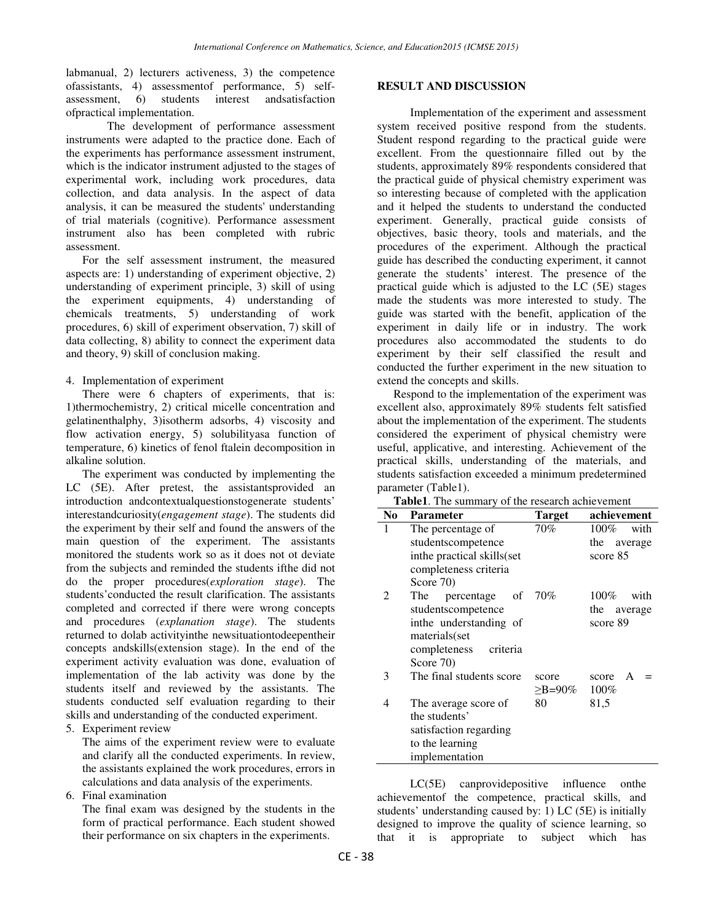labmanual, 2) lecturers activeness, 3) the competence ofassistants, 4) assessmentof performance, 5) selfassessment, 6) students interest andsatisfaction ofpractical implementation.

The development of performance assessment instruments were adapted to the practice done. Each of the experiments has performance assessment instrument, which is the indicator instrument adjusted to the stages of experimental work, including work procedures, data collection, and data analysis. In the aspect of data analysis, it can be measured the students' understanding of trial materials (cognitive). Performance assessment instrument also has been completed with rubric assessment.

For the self assessment instrument, the measured aspects are: 1) understanding of experiment objective, 2) understanding of experiment principle, 3) skill of using the experiment equipments, 4) understanding of chemicals treatments, 5) understanding of work procedures, 6) skill of experiment observation, 7) skill of data collecting, 8) ability to connect the experiment data and theory, 9) skill of conclusion making.

### 4. Implementation of experiment

There were 6 chapters of experiments, that is: 1)thermochemistry, 2) critical micelle concentration and gelatinenthalphy, 3)isotherm adsorbs, 4) viscosity and flow activation energy, 5) solubilityasa function of temperature, 6) kinetics of fenol ftalein decomposition in alkaline solution.

The experiment was conducted by implementing the LC (5E). After pretest, the assistantsprovided an introduction andcontextualquestionstogenerate students' interestandcuriosity(*engagement stage*). The students did the experiment by their self and found the answers of the main question of the experiment. The assistants monitored the students work so as it does not ot deviate from the subjects and reminded the students ifthe did not do the proper procedures(*exploration stage*). The students'conducted the result clarification. The assistants completed and corrected if there were wrong concepts and procedures (*explanation stage*). The students returned to dolab activityinthe newsituationtodeepentheir concepts andskills(extension stage). In the end of the experiment activity evaluation was done, evaluation of implementation of the lab activity was done by the students itself and reviewed by the assistants. The students conducted self evaluation regarding to their skills and understanding of the conducted experiment.

5. Experiment review

The aims of the experiment review were to evaluate and clarify all the conducted experiments. In review, the assistants explained the work procedures, errors in calculations and data analysis of the experiments.

6. Final examination

The final exam was designed by the students in the form of practical performance. Each student showed their performance on six chapters in the experiments.

### **RESULT AND DISCUSSION**

Implementation of the experiment and assessment system received positive respond from the students. Student respond regarding to the practical guide were excellent. From the questionnaire filled out by the students, approximately 89% respondents considered that the practical guide of physical chemistry experiment was so interesting because of completed with the application and it helped the students to understand the conducted experiment. Generally, practical guide consists of objectives, basic theory, tools and materials, and the procedures of the experiment. Although the practical guide has described the conducting experiment, it cannot generate the students' interest. The presence of the practical guide which is adjusted to the LC (5E) stages made the students was more interested to study. The guide was started with the benefit, application of the experiment in daily life or in industry. The work procedures also accommodated the students to do experiment by their self classified the result and conducted the further experiment in the new situation to extend the concepts and skills.

Respond to the implementation of the experiment was excellent also, approximately 89% students felt satisfied about the implementation of the experiment. The students considered the experiment of physical chemistry were useful, applicative, and interesting. Achievement of the practical skills, understanding of the materials, and students satisfaction exceeded a minimum predetermined parameter (Table1).

**Table1**. The summary of the research achievement

| N <sub>0</sub>              | <b>Parameter</b>           | <b>Target</b> | achievement     |
|-----------------------------|----------------------------|---------------|-----------------|
| 1                           | The percentage of          | 70%           | $100\%$<br>with |
|                             | studentscompetence         |               | the average     |
|                             | inthe practical skills(set |               | score 85        |
|                             | completeness criteria      |               |                 |
|                             | Score 70)                  |               |                 |
| $\mathcal{D}_{\mathcal{L}}$ | The<br>percentage of       | 70%           | 100%<br>with    |
|                             | studentscompetence         |               | the<br>average  |
|                             | inthe understanding of     |               | score 89        |
|                             | materials(set              |               |                 |
|                             | completeness criteria      |               |                 |
|                             | Score 70)                  |               |                 |
| 3                           | The final students score   | score         | score<br>A      |
|                             |                            | $\geq$ B=90%  | $100\%$         |
| 4                           | The average score of       | 80            | 81,5            |
|                             | the students'              |               |                 |
|                             | satisfaction regarding     |               |                 |
|                             | to the learning            |               |                 |
|                             | implementation             |               |                 |

LC(5E) canprovidepositive influence onthe achievementof the competence, practical skills, and students' understanding caused by: 1) LC (5E) is initially designed to improve the quality of science learning, so that it is appropriate to subject which has